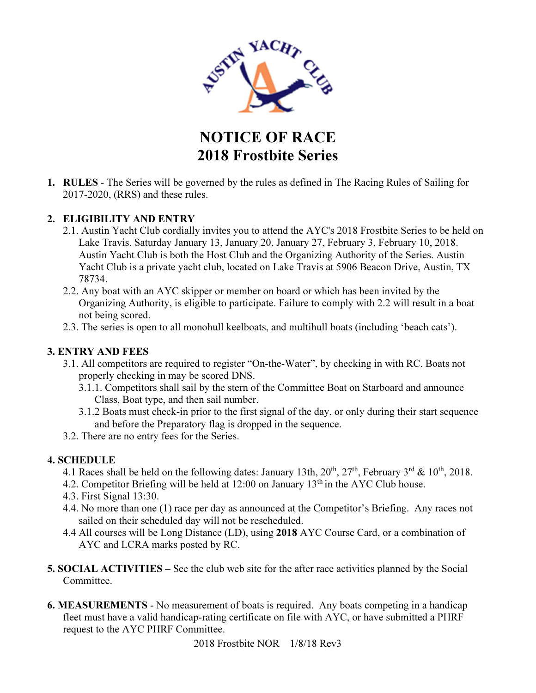

NOTICE OF RACE 2018 Frostbite Series

1. RULES - The Series will be governed by the rules as defined in The Racing Rules of Sailing for 2017-2020, (RRS) and these rules.

## 2. ELIGIBILITY AND ENTRY

- 2.1. Austin Yacht Club cordially invites you to attend the AYC's 2018 Frostbite Series to be held on Lake Travis. Saturday January 13, January 20, January 27, February 3, February 10, 2018. Austin Yacht Club is both the Host Club and the Organizing Authority of the Series. Austin Yacht Club is a private yacht club, located on Lake Travis at 5906 Beacon Drive, Austin, TX 78734.
- 2.2. Any boat with an AYC skipper or member on board or which has been invited by the Organizing Authority, is eligible to participate. Failure to comply with 2.2 will result in a boat not being scored.
- 2.3. The series is open to all monohull keelboats, and multihull boats (including 'beach cats').

## 3. ENTRY AND FEES

- 3.1. All competitors are required to register "On-the-Water", by checking in with RC. Boats not properly checking in may be scored DNS.
	- 3.1.1. Competitors shall sail by the stern of the Committee Boat on Starboard and announce Class, Boat type, and then sail number.
	- 3.1.2 Boats must check-in prior to the first signal of the day, or only during their start sequence and before the Preparatory flag is dropped in the sequence.
- 3.2. There are no entry fees for the Series.

## 4. SCHEDULE

- 4.1 Races shall be held on the following dates: January 13th,  $20^{th}$ ,  $27^{th}$ , February 3<sup>rd</sup> & 10<sup>th</sup>, 2018.
- 4.2. Competitor Briefing will be held at 12:00 on January 13<sup>th</sup> in the AYC Club house.
- 4.3. First Signal 13:30.
- 4.4. No more than one (1) race per day as announced at the Competitor's Briefing. Any races not sailed on their scheduled day will not be rescheduled.
- 4.4 All courses will be Long Distance (LD), using 2018 AYC Course Card, or a combination of AYC and LCRA marks posted by RC.
- 5. SOCIAL ACTIVITIES See the club web site for the after race activities planned by the Social Committee.
- 6. MEASUREMENTS No measurement of boats is required. Any boats competing in a handicap fleet must have a valid handicap-rating certificate on file with AYC, or have submitted a PHRF request to the AYC PHRF Committee.

2018 Frostbite NOR 1/8/18 Rev3